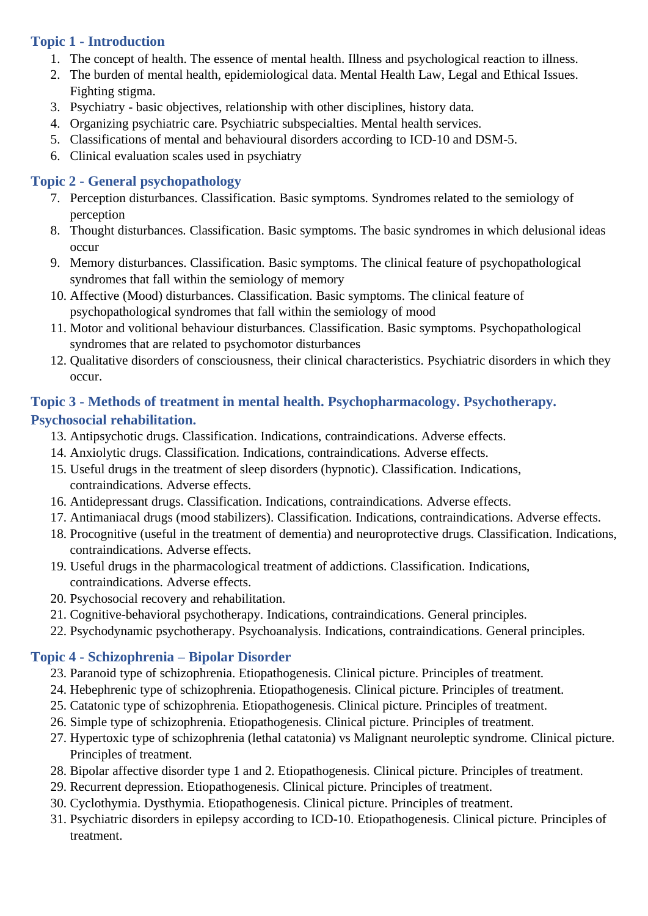## **Topic 1 - Introduction**

- 1. The concept of health. The essence of mental health. Illness and psychological reaction to illness.
- 2. The burden of mental health, epidemiological data. Mental Health Law, Legal and Ethical Issues. Fighting stigma.
- 3. Psychiatry basic objectives, relationship with other disciplines, history data.
- 4. Organizing psychiatric care. Psychiatric subspecialties. Mental health services.
- 5. Classifications of mental and behavioural disorders according to ICD-10 and DSM-5.
- 6. Clinical evaluation scales used in psychiatry

# **Topic 2 - General psychopathology**

- 7. Perception disturbances. Classification. Basic symptoms. Syndromes related to the semiology of perception
- 8. Thought disturbances. Classification. Basic symptoms. The basic syndromes in which delusional ideas occur
- 9. Memory disturbances. Classification. Basic symptoms. The clinical feature of psychopathological syndromes that fall within the semiology of memory
- 10. Affective (Mood) disturbances. Classification. Basic symptoms. The clinical feature of psychopathological syndromes that fall within the semiology of mood
- 11. Motor and volitional behaviour disturbances. Classification. Basic symptoms. Psychopathological syndromes that are related to psychomotor disturbances
- 12. Qualitative disorders of consciousness, their clinical characteristics. Psychiatric disorders in which they occur.

## **Topic 3 - Methods of treatment in mental health. Psychopharmacology. Psychotherapy. Psychosocial rehabilitation.**

- 13. Antipsychotic drugs. Classification. Indications, contraindications. Adverse effects.
- 14. Anxiolytic drugs. Classification. Indications, contraindications. Adverse effects.
- 15. Useful drugs in the treatment of sleep disorders (hypnotic). Classification. Indications, contraindications. Adverse effects.
- 16. Antidepressant drugs. Classification. Indications, contraindications. Adverse effects.
- 17. Antimaniacal drugs (mood stabilizers). Classification. Indications, contraindications. Adverse effects.
- 18. Procognitive (useful in the treatment of dementia) and neuroprotective drugs. Classification. Indications, contraindications. Adverse effects.
- 19. Useful drugs in the pharmacological treatment of addictions. Classification. Indications, contraindications. Adverse effects.
- 20. Psychosocial recovery and rehabilitation.
- 21. Cognitive-behavioral psychotherapy. Indications, contraindications. General principles.
- 22. Psychodynamic psychotherapy. Psychoanalysis. Indications, contraindications. General principles.

# **Topic 4 - Schizophrenia – Bipolar Disorder**

- 23. Paranoid type of schizophrenia. Etiopathogenesis. Clinical picture. Principles of treatment.
- 24. Hebephrenic type of schizophrenia. Etiopathogenesis. Clinical picture. Principles of treatment.
- 25. Catatonic type of schizophrenia. Etiopathogenesis. Clinical picture. Principles of treatment.
- 26. Simple type of schizophrenia. Etiopathogenesis. Clinical picture. Principles of treatment.
- 27. Hypertoxic type of schizophrenia (lethal catatonia) vs Malignant neuroleptic syndrome. Clinical picture. Principles of treatment.
- 28. Bipolar affective disorder type 1 and 2. Etiopathogenesis. Clinical picture. Principles of treatment.
- 29. Recurrent depression. Etiopathogenesis. Clinical picture. Principles of treatment.
- 30. Cyclothymia. Dysthymia. Etiopathogenesis. Clinical picture. Principles of treatment.
- 31. Psychiatric disorders in epilepsy according to ICD-10. Etiopathogenesis. Clinical picture. Principles of treatment.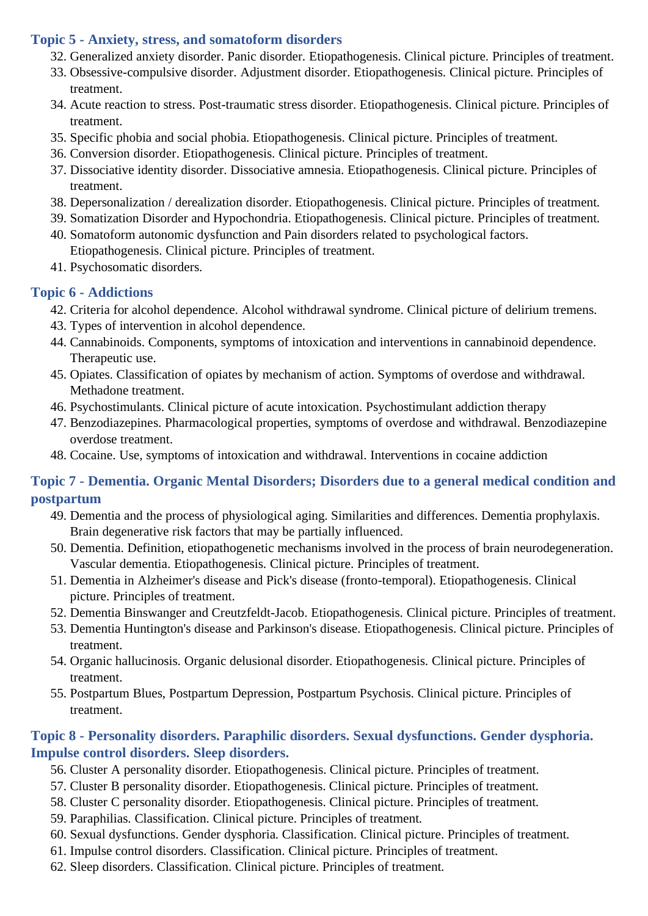#### **Topic 5 - Anxiety, stress, and somatoform disorders**

- 32. Generalized anxiety disorder. Panic disorder. Etiopathogenesis. Clinical picture. Principles of treatment.
- 33. Obsessive-compulsive disorder. Adjustment disorder. Etiopathogenesis. Clinical picture. Principles of treatment.
- 34. Acute reaction to stress. Post-traumatic stress disorder. Etiopathogenesis. Clinical picture. Principles of treatment.
- 35. Specific phobia and social phobia. Etiopathogenesis. Clinical picture. Principles of treatment.
- 36. Conversion disorder. Etiopathogenesis. Clinical picture. Principles of treatment.
- 37. Dissociative identity disorder. Dissociative amnesia. Etiopathogenesis. Clinical picture. Principles of treatment.
- 38. Depersonalization / derealization disorder. Etiopathogenesis. Clinical picture. Principles of treatment.
- 39. Somatization Disorder and Hypochondria. Etiopathogenesis. Clinical picture. Principles of treatment.
- 40. Somatoform autonomic dysfunction and Pain disorders related to psychological factors. Etiopathogenesis. Clinical picture. Principles of treatment.
- 41. Psychosomatic disorders.

#### **Topic 6 - Addictions**

- 42. Criteria for alcohol dependence. Alcohol withdrawal syndrome. Clinical picture of delirium tremens.
- 43. Types of intervention in alcohol dependence.
- 44. Cannabinoids. Components, symptoms of intoxication and interventions in cannabinoid dependence. Therapeutic use.
- 45. Opiates. Classification of opiates by mechanism of action. Symptoms of overdose and withdrawal. Methadone treatment.
- 46. Psychostimulants. Clinical picture of acute intoxication. Psychostimulant addiction therapy
- 47. Benzodiazepines. Pharmacological properties, symptoms of overdose and withdrawal. Benzodiazepine overdose treatment.
- 48. Cocaine. Use, symptoms of intoxication and withdrawal. Interventions in cocaine addiction

## **Topic 7 - Dementia. Organic Mental Disorders; Disorders due to a general medical condition and postpartum**

- 49. Dementia and the process of physiological aging. Similarities and differences. Dementia prophylaxis. Brain degenerative risk factors that may be partially influenced.
- 50. Dementia. Definition, etiopathogenetic mechanisms involved in the process of brain neurodegeneration. Vascular dementia. Etiopathogenesis. Clinical picture. Principles of treatment.
- 51. Dementia in Alzheimer's disease and Pick's disease (fronto-temporal). Etiopathogenesis. Clinical picture. Principles of treatment.
- 52. Dementia Binswanger and Creutzfeldt-Jacob. Etiopathogenesis. Clinical picture. Principles of treatment.
- 53. Dementia Huntington's disease and Parkinson's disease. Etiopathogenesis. Clinical picture. Principles of treatment.
- 54. Organic hallucinosis. Organic delusional disorder. Etiopathogenesis. Clinical picture. Principles of treatment.
- 55. Postpartum Blues, Postpartum Depression, Postpartum Psychosis. Clinical picture. Principles of treatment.

## **Topic 8 - Personality disorders. Paraphilic disorders. Sexual dysfunctions. Gender dysphoria. Impulse control disorders. Sleep disorders.**

- 56. Cluster A personality disorder. Etiopathogenesis. Clinical picture. Principles of treatment.
- 57. Cluster B personality disorder. Etiopathogenesis. Clinical picture. Principles of treatment.
- 58. Cluster C personality disorder. Etiopathogenesis. Clinical picture. Principles of treatment.
- 59. Paraphilias. Classification. Clinical picture. Principles of treatment.
- 60. Sexual dysfunctions. Gender dysphoria. Classification. Clinical picture. Principles of treatment.
- 61. Impulse control disorders. Classification. Clinical picture. Principles of treatment.
- 62. Sleep disorders. Classification. Clinical picture. Principles of treatment.